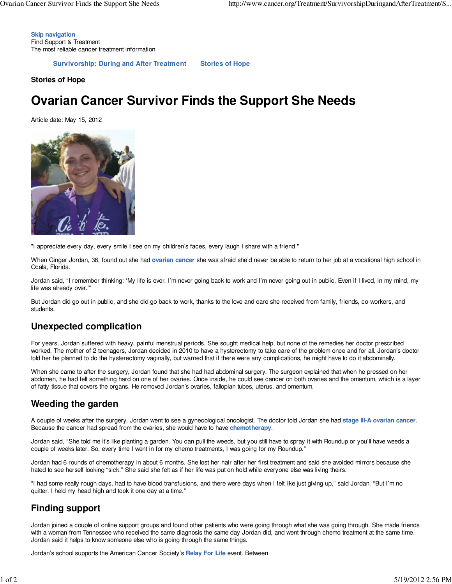**Skip navigation** Find Support & Treatment The most reliable cancer treatment information

**Survivorship: During and After Treatment Stories of Hope**

**Stories of Hope**

# **Ovarian Cancer Survivor Finds the Support She Needs**

Article date: May 15, 2012



"I appreciate every day, every smile I see on my children's faces, every laugh I share with a friend."

When Ginger Jordan, 38, found out she had **ovarian cancer** she was afraid she'd never be able to return to her job at a vocational high school in Ocala, Florida.

Jordan said, "I remember thinking: 'My life is over. I'm never going back to work and I'm never going out in public. Even if I lived, in my mind, my life was already over.'"

But Jordan did go out in public, and she did go back to work, thanks to the love and care she received from family, friends, co-workers, and students.

#### **Unexpected complication**

For years, Jordan suffered with heavy, painful menstrual periods. She sought medical help, but none of the remedies her doctor prescribed worked. The mother of 2 teenagers, Jordan decided in 2010 to have a hysterectomy to take care of the problem once and for all. Jordan's doctor told her he planned to do the hysterectomy vaginally, but warned that if there were any complications, he might have to do it abdominally.

When she came to after the surgery, Jordan found that she had had abdominal surgery. The surgeon explained that when he pressed on her abdomen, he had felt something hard on one of her ovaries. Once inside, he could see cancer on both ovaries and the omentum, which is a layer of fatty tissue that covers the organs. He removed Jordan's ovaries, fallopian tubes, uterus, and omentum.

## **Weeding the garden**

A couple of weeks after the surgery, Jordan went to see a gynecological oncologist. The doctor told Jordan she had **stage III-A ovarian cancer**. Because the cancer had spread from the ovaries, she would have to have **chemotherapy**.

Jordan said, "She told me it's like planting a garden. You can pull the weeds, but you still have to spray it with Roundup or you'll have weeds a couple of weeks later. So, every time I went in for my chemo treatments, I was going for my Roundup."

Jordan had 6 rounds of chemotherapy in about 6 months. She lost her hair after her first treatment and said she avoided mirrors because she hated to see herself looking "sick." She said she felt as if her life was put on hold while everyone else was living theirs.

"I had some really rough days, had to have blood transfusions, and there were days when I felt like just giving up," said Jordan. "But I'm no quitter. I held my head high and took it one day at a time."

## **Finding support**

Jordan joined a couple of online support groups and found other patients who were going through what she was going through. She made friends with a woman from Tennessee who received the same diagnosis the same day Jordan did, and went through chemo treatment at the same time. Jordan said it helps to know someone else who is going through the same things.

Jordan's school supports the American Cancer Society's **Relay For Life** event. Between